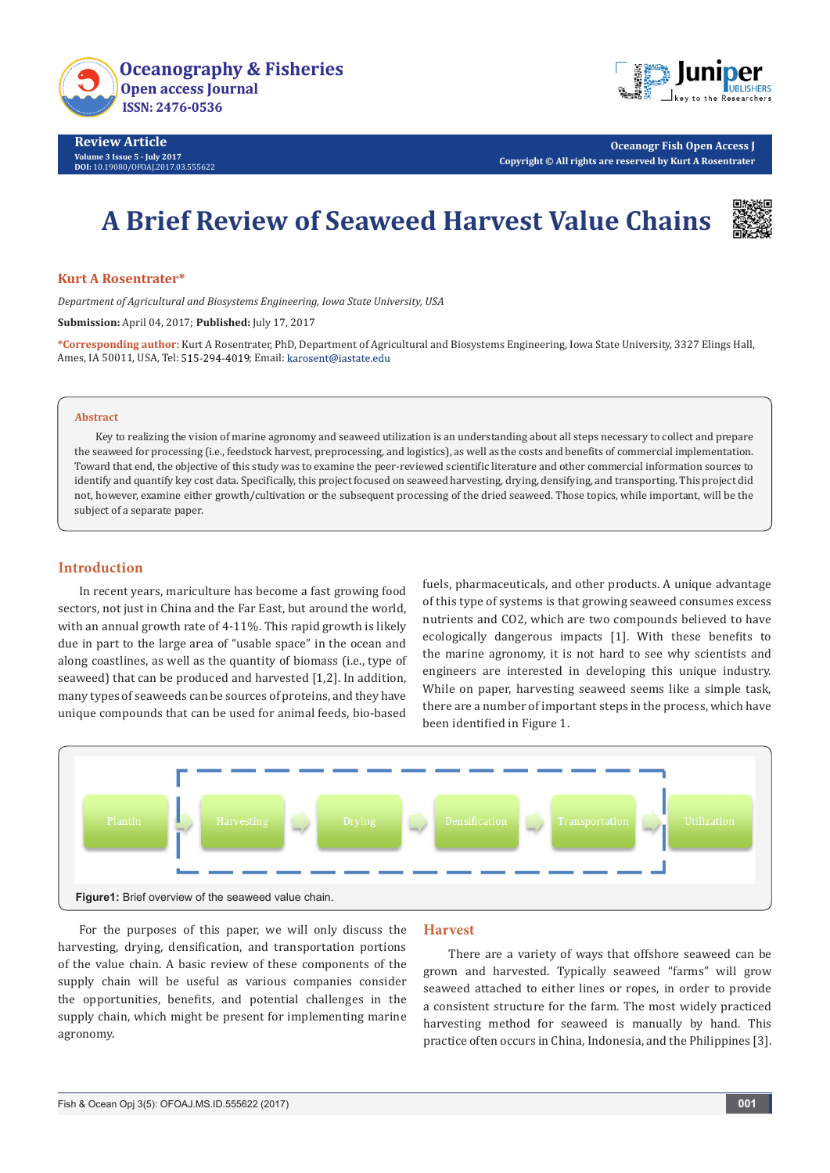



**Oceanogr Fish Open Access J Copyright © All rights are reserved by Kurt A Rosentrater**

# **A Brief Review of Seaweed Harvest Value Chains**



#### **Kurt A Rosentrater\***

*Department of Agricultural and Biosystems Engineering, Iowa State University, USA*

**Submission:** April 04, 2017; **Published:** July 17, 2017

**\*Corresponding author:** Kurt A Rosentrater, PhD, Department of Agricultural and Biosystems Engineering, Iowa State University, 3327 Elings Hall, Ames, IA 50011, USA, Tel: 515-294-4019; Email: karosent@iastate.edu

#### **Abstract**

Key to realizing the vision of marine agronomy and seaweed utilization is an understanding about all steps necessary to collect and prepare the seaweed for processing (i.e., feedstock harvest, preprocessing, and logistics), as well as the costs and benefits of commercial implementation. Toward that end, the objective of this study was to examine the peer-reviewed scientific literature and other commercial information sources to identify and quantify key cost data. Specifically, this project focused on seaweed harvesting, drying, densifying, and transporting. This project did not, however, examine either growth/cultivation or the subsequent processing of the dried seaweed. Those topics, while important, will be the subject of a separate paper.

## **Introduction**

In recent years, mariculture has become a fast growing food sectors, not just in China and the Far East, but around the world, with an annual growth rate of 4-11%. This rapid growth is likely due in part to the large area of "usable space" in the ocean and along coastlines, as well as the quantity of biomass (i.e., type of seaweed) that can be produced and harvested [1,2]. In addition, many types of seaweeds can be sources of proteins, and they have unique compounds that can be used for animal feeds, bio-based

fuels, pharmaceuticals, and other products. A unique advantage of this type of systems is that growing seaweed consumes excess nutrients and CO2, which are two compounds believed to have ecologically dangerous impacts [1]. With these benefits to the marine agronomy, it is not hard to see why scientists and engineers are interested in developing this unique industry. While on paper, harvesting seaweed seems like a simple task, there are a number of important steps in the process, which have been identified in Figure 1.



For the purposes of this paper, we will only discuss the harvesting, drying, densification, and transportation portions of the value chain. A basic review of these components of the supply chain will be useful as various companies consider the opportunities, benefits, and potential challenges in the supply chain, which might be present for implementing marine agronomy.

#### **Harvest**

 There are a variety of ways that offshore seaweed can be grown and harvested. Typically seaweed "farms" will grow seaweed attached to either lines or ropes, in order to provide a consistent structure for the farm. The most widely practiced harvesting method for seaweed is manually by hand. This practice often occurs in China, Indonesia, and the Philippines [3].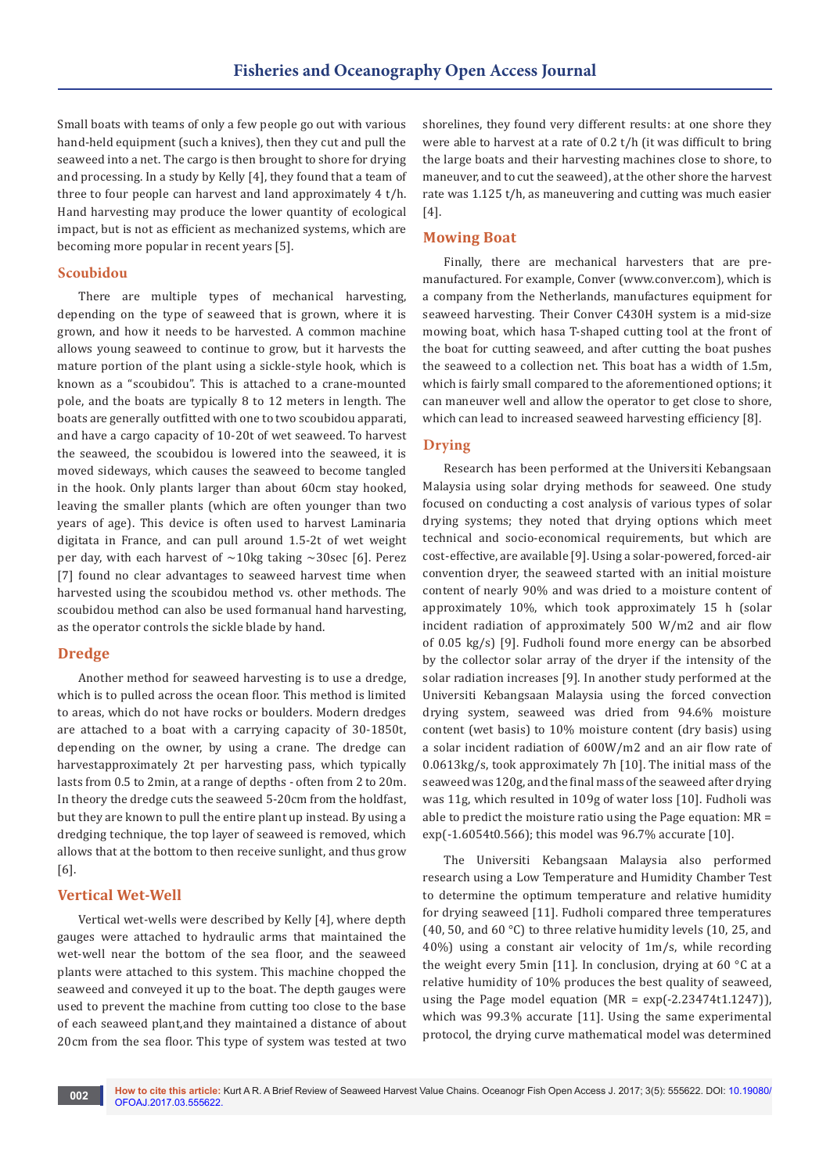Small boats with teams of only a few people go out with various hand-held equipment (such a knives), then they cut and pull the seaweed into a net. The cargo is then brought to shore for drying and processing. In a study by Kelly [4], they found that a team of three to four people can harvest and land approximately 4 t/h. Hand harvesting may produce the lower quantity of ecological impact, but is not as efficient as mechanized systems, which are becoming more popular in recent years [5].

## **Scoubidou**

There are multiple types of mechanical harvesting, depending on the type of seaweed that is grown, where it is grown, and how it needs to be harvested. A common machine allows young seaweed to continue to grow, but it harvests the mature portion of the plant using a sickle-style hook, which is known as a "scoubidou". This is attached to a crane-mounted pole, and the boats are typically 8 to 12 meters in length. The boats are generally outfitted with one to two scoubidou apparati, and have a cargo capacity of 10-20t of wet seaweed. To harvest the seaweed, the scoubidou is lowered into the seaweed, it is moved sideways, which causes the seaweed to become tangled in the hook. Only plants larger than about 60cm stay hooked, leaving the smaller plants (which are often younger than two years of age). This device is often used to harvest Laminaria digitata in France, and can pull around 1.5-2t of wet weight per day, with each harvest of  $\sim$ 10kg taking  $\sim$ 30sec [6]. Perez [7] found no clear advantages to seaweed harvest time when harvested using the scoubidou method vs. other methods. The scoubidou method can also be used formanual hand harvesting, as the operator controls the sickle blade by hand.

# **Dredge**

Another method for seaweed harvesting is to use a dredge, which is to pulled across the ocean floor. This method is limited to areas, which do not have rocks or boulders. Modern dredges are attached to a boat with a carrying capacity of 30-1850t, depending on the owner, by using a crane. The dredge can harvestapproximately 2t per harvesting pass, which typically lasts from 0.5 to 2min, at a range of depths - often from 2 to 20m. In theory the dredge cuts the seaweed 5-20cm from the holdfast, but they are known to pull the entire plant up instead. By using a dredging technique, the top layer of seaweed is removed, which allows that at the bottom to then receive sunlight, and thus grow [6].

# **Vertical Wet-Well**

Vertical wet-wells were described by Kelly [4], where depth gauges were attached to hydraulic arms that maintained the wet-well near the bottom of the sea floor, and the seaweed plants were attached to this system. This machine chopped the seaweed and conveyed it up to the boat. The depth gauges were used to prevent the machine from cutting too close to the base of each seaweed plant,and they maintained a distance of about 20cm from the sea floor. This type of system was tested at two

shorelines, they found very different results: at one shore they were able to harvest at a rate of 0.2 t/h (it was difficult to bring the large boats and their harvesting machines close to shore, to maneuver, and to cut the seaweed), at the other shore the harvest rate was 1.125 t/h, as maneuvering and cutting was much easier [4].

# **Mowing Boat**

Finally, there are mechanical harvesters that are premanufactured. For example, Conver (www.conver.com), which is a company from the Netherlands, manufactures equipment for seaweed harvesting. Their Conver C430H system is a mid-size mowing boat, which hasa T-shaped cutting tool at the front of the boat for cutting seaweed, and after cutting the boat pushes the seaweed to a collection net. This boat has a width of 1.5m, which is fairly small compared to the aforementioned options; it can maneuver well and allow the operator to get close to shore, which can lead to increased seaweed harvesting efficiency [8].

# **Drying**

Research has been performed at the Universiti Kebangsaan Malaysia using solar drying methods for seaweed. One study focused on conducting a cost analysis of various types of solar drying systems; they noted that drying options which meet technical and socio-economical requirements, but which are cost-effective, are available [9]. Using a solar-powered, forced-air convention dryer, the seaweed started with an initial moisture content of nearly 90% and was dried to a moisture content of approximately 10%, which took approximately 15 h (solar incident radiation of approximately 500 W/m2 and air flow of 0.05 kg/s) [9]. Fudholi found more energy can be absorbed by the collector solar array of the dryer if the intensity of the solar radiation increases [9]. In another study performed at the Universiti Kebangsaan Malaysia using the forced convection drying system, seaweed was dried from 94.6% moisture content (wet basis) to 10% moisture content (dry basis) using a solar incident radiation of 600W/m2 and an air flow rate of 0.0613kg/s, took approximately 7h [10]. The initial mass of the seaweed was 120g, and the final mass of the seaweed after drying was 11g, which resulted in 109g of water loss [10]. Fudholi was able to predict the moisture ratio using the Page equation:  $MR =$ exp(-1.6054t0.566); this model was 96.7% accurate [10].

The Universiti Kebangsaan Malaysia also performed research using a Low Temperature and Humidity Chamber Test to determine the optimum temperature and relative humidity for drying seaweed [11]. Fudholi compared three temperatures (40, 50, and 60 $\degree$ C) to three relative humidity levels (10, 25, and 40%) using a constant air velocity of 1m/s, while recording the weight every 5min [11]. In conclusion, drying at 60 °C at a relative humidity of 10% produces the best quality of seaweed, using the Page model equation (MR = exp(-2.23474t1.1247)), which was 99.3% accurate [11]. Using the same experimental protocol, the drying curve mathematical model was determined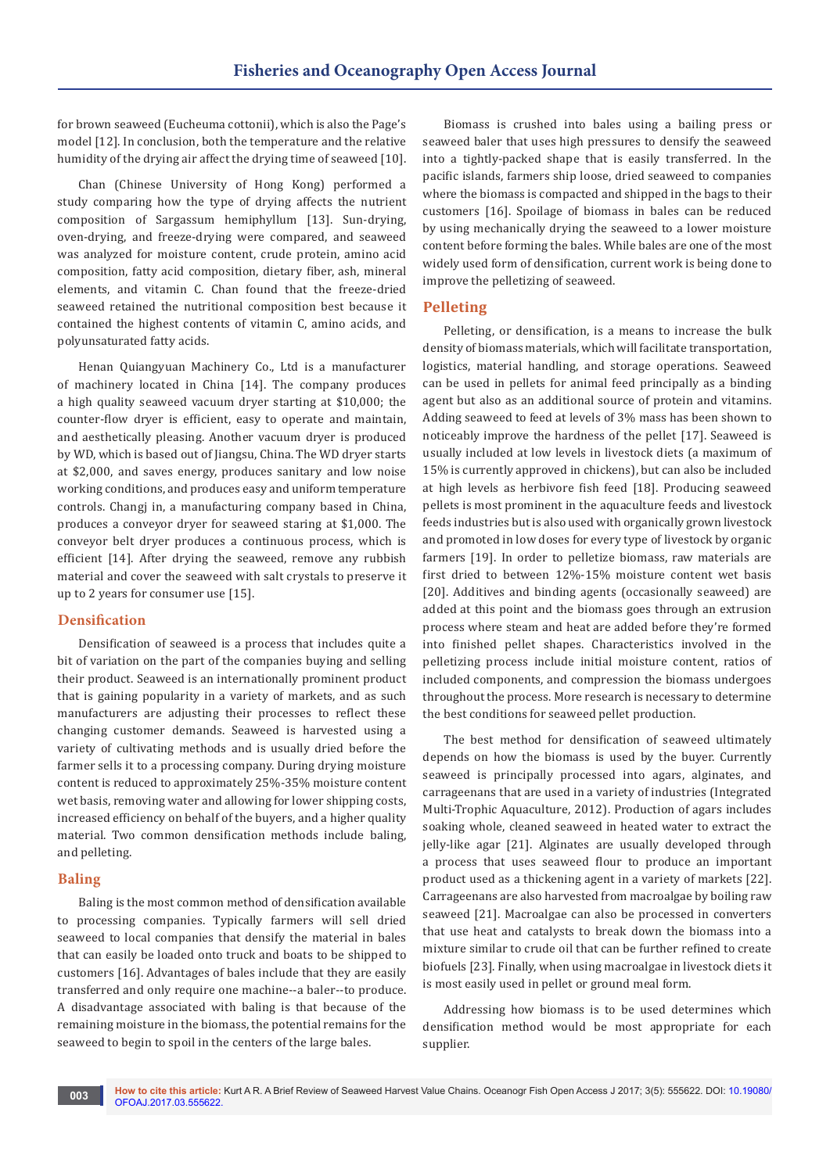for brown seaweed (Eucheuma cottonii), which is also the Page's model [12]. In conclusion, both the temperature and the relative humidity of the drying air affect the drying time of seaweed [10].

Chan (Chinese University of Hong Kong) performed a study comparing how the type of drying affects the nutrient composition of Sargassum hemiphyllum [13]. Sun-drying, oven-drying, and freeze-drying were compared, and seaweed was analyzed for moisture content, crude protein, amino acid composition, fatty acid composition, dietary fiber, ash, mineral elements, and vitamin C. Chan found that the freeze-dried seaweed retained the nutritional composition best because it contained the highest contents of vitamin C, amino acids, and polyunsaturated fatty acids.

Henan Quiangyuan Machinery Co., Ltd is a manufacturer of machinery located in China [14]. The company produces a high quality seaweed vacuum dryer starting at \$10,000; the counter-flow dryer is efficient, easy to operate and maintain, and aesthetically pleasing. Another vacuum dryer is produced by WD, which is based out of Jiangsu, China. The WD dryer starts at \$2,000, and saves energy, produces sanitary and low noise working conditions, and produces easy and uniform temperature controls. Changj in, a manufacturing company based in China, produces a conveyor dryer for seaweed staring at \$1,000. The conveyor belt dryer produces a continuous process, which is efficient [14]. After drying the seaweed, remove any rubbish material and cover the seaweed with salt crystals to preserve it up to 2 years for consumer use [15].

## **Densification**

Densification of seaweed is a process that includes quite a bit of variation on the part of the companies buying and selling their product. Seaweed is an internationally prominent product that is gaining popularity in a variety of markets, and as such manufacturers are adjusting their processes to reflect these changing customer demands. Seaweed is harvested using a variety of cultivating methods and is usually dried before the farmer sells it to a processing company. During drying moisture content is reduced to approximately 25%-35% moisture content wet basis, removing water and allowing for lower shipping costs, increased efficiency on behalf of the buyers, and a higher quality material. Two common densification methods include baling, and pelleting.

## **Baling**

Baling is the most common method of densification available to processing companies. Typically farmers will sell dried seaweed to local companies that densify the material in bales that can easily be loaded onto truck and boats to be shipped to customers [16]. Advantages of bales include that they are easily transferred and only require one machine--a baler--to produce. A disadvantage associated with baling is that because of the remaining moisture in the biomass, the potential remains for the seaweed to begin to spoil in the centers of the large bales.

Biomass is crushed into bales using a bailing press or seaweed baler that uses high pressures to densify the seaweed into a tightly-packed shape that is easily transferred. In the pacific islands, farmers ship loose, dried seaweed to companies where the biomass is compacted and shipped in the bags to their customers [16]. Spoilage of biomass in bales can be reduced by using mechanically drying the seaweed to a lower moisture content before forming the bales. While bales are one of the most widely used form of densification, current work is being done to improve the pelletizing of seaweed.

## **Pelleting**

Pelleting, or densification, is a means to increase the bulk density of biomass materials, which will facilitate transportation, logistics, material handling, and storage operations. Seaweed can be used in pellets for animal feed principally as a binding agent but also as an additional source of protein and vitamins. Adding seaweed to feed at levels of 3% mass has been shown to noticeably improve the hardness of the pellet [17]. Seaweed is usually included at low levels in livestock diets (a maximum of 15% is currently approved in chickens), but can also be included at high levels as herbivore fish feed [18]. Producing seaweed pellets is most prominent in the aquaculture feeds and livestock feeds industries but is also used with organically grown livestock and promoted in low doses for every type of livestock by organic farmers [19]. In order to pelletize biomass, raw materials are first dried to between 12%-15% moisture content wet basis [20]. Additives and binding agents (occasionally seaweed) are added at this point and the biomass goes through an extrusion process where steam and heat are added before they're formed into finished pellet shapes. Characteristics involved in the pelletizing process include initial moisture content, ratios of included components, and compression the biomass undergoes throughout the process. More research is necessary to determine the best conditions for seaweed pellet production.

The best method for densification of seaweed ultimately depends on how the biomass is used by the buyer. Currently seaweed is principally processed into agars, alginates, and carrageenans that are used in a variety of industries (Integrated Multi-Trophic Aquaculture, 2012). Production of agars includes soaking whole, cleaned seaweed in heated water to extract the jelly-like agar [21]. Alginates are usually developed through a process that uses seaweed flour to produce an important product used as a thickening agent in a variety of markets [22]. Carrageenans are also harvested from macroalgae by boiling raw seaweed [21]. Macroalgae can also be processed in converters that use heat and catalysts to break down the biomass into a mixture similar to crude oil that can be further refined to create biofuels [23]. Finally, when using macroalgae in livestock diets it is most easily used in pellet or ground meal form.

Addressing how biomass is to be used determines which densification method would be most appropriate for each supplier.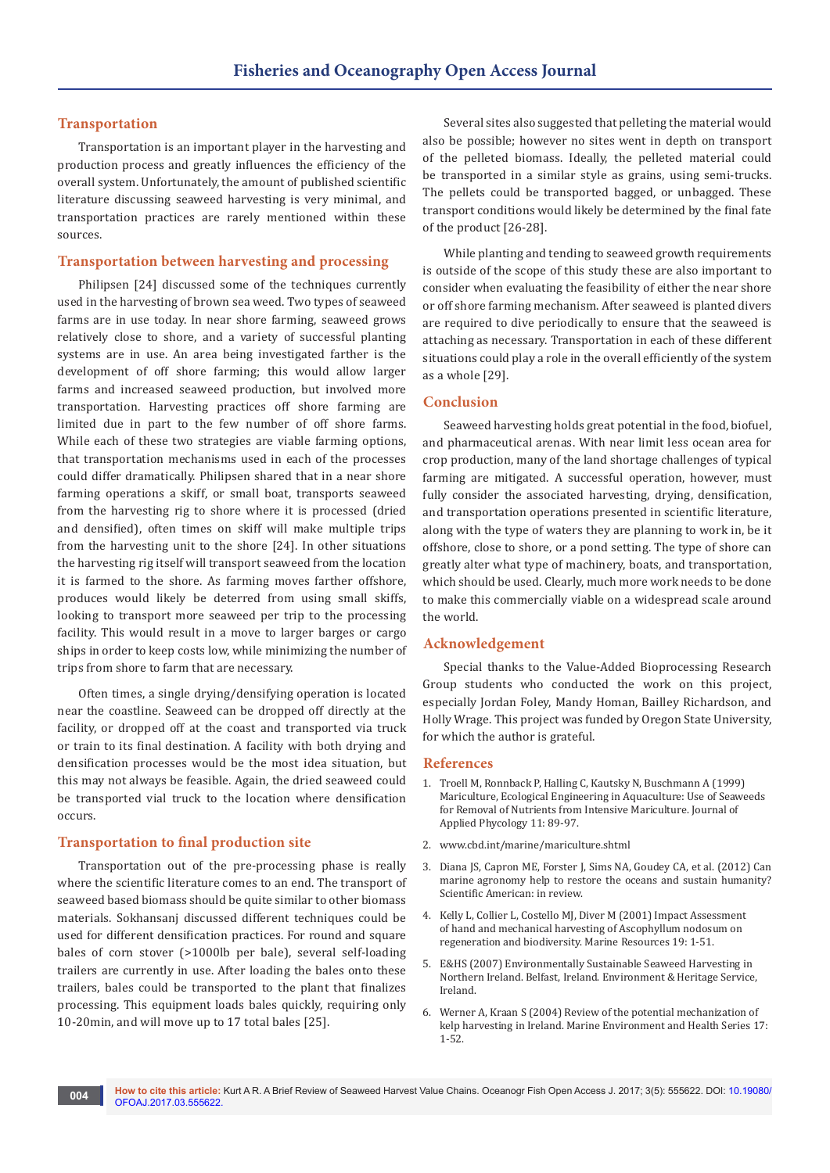## **Transportation**

Transportation is an important player in the harvesting and production process and greatly influences the efficiency of the overall system. Unfortunately, the amount of published scientific literature discussing seaweed harvesting is very minimal, and transportation practices are rarely mentioned within these sources.

## **Transportation between harvesting and processing**

Philipsen [24] discussed some of the techniques currently used in the harvesting of brown sea weed. Two types of seaweed farms are in use today. In near shore farming, seaweed grows relatively close to shore, and a variety of successful planting systems are in use. An area being investigated farther is the development of off shore farming; this would allow larger farms and increased seaweed production, but involved more transportation. Harvesting practices off shore farming are limited due in part to the few number of off shore farms. While each of these two strategies are viable farming options, that transportation mechanisms used in each of the processes could differ dramatically. Philipsen shared that in a near shore farming operations a skiff, or small boat, transports seaweed from the harvesting rig to shore where it is processed (dried and densified), often times on skiff will make multiple trips from the harvesting unit to the shore [24]. In other situations the harvesting rig itself will transport seaweed from the location it is farmed to the shore. As farming moves farther offshore, produces would likely be deterred from using small skiffs, looking to transport more seaweed per trip to the processing facility. This would result in a move to larger barges or cargo ships in order to keep costs low, while minimizing the number of trips from shore to farm that are necessary.

Often times, a single drying/densifying operation is located near the coastline. Seaweed can be dropped off directly at the facility, or dropped off at the coast and transported via truck or train to its final destination. A facility with both drying and densification processes would be the most idea situation, but this may not always be feasible. Again, the dried seaweed could be transported vial truck to the location where densification occurs.

#### **Transportation to final production site**

Transportation out of the pre-processing phase is really where the scientific literature comes to an end. The transport of seaweed based biomass should be quite similar to other biomass materials. Sokhansanj discussed different techniques could be used for different densification practices. For round and square bales of corn stover (>1000lb per bale), several self-loading trailers are currently in use. After loading the bales onto these trailers, bales could be transported to the plant that finalizes processing. This equipment loads bales quickly, requiring only 10-20min, and will move up to 17 total bales [25].

Several sites also suggested that pelleting the material would also be possible; however no sites went in depth on transport of the pelleted biomass. Ideally, the pelleted material could be transported in a similar style as grains, using semi-trucks. The pellets could be transported bagged, or unbagged. These transport conditions would likely be determined by the final fate of the product [26-28].

While planting and tending to seaweed growth requirements is outside of the scope of this study these are also important to consider when evaluating the feasibility of either the near shore or off shore farming mechanism. After seaweed is planted divers are required to dive periodically to ensure that the seaweed is attaching as necessary. Transportation in each of these different situations could play a role in the overall efficiently of the system as a whole [29].

#### **Conclusion**

Seaweed harvesting holds great potential in the food, biofuel, and pharmaceutical arenas. With near limit less ocean area for crop production, many of the land shortage challenges of typical farming are mitigated. A successful operation, however, must fully consider the associated harvesting, drying, densification, and transportation operations presented in scientific literature, along with the type of waters they are planning to work in, be it offshore, close to shore, or a pond setting. The type of shore can greatly alter what type of machinery, boats, and transportation, which should be used. Clearly, much more work needs to be done to make this commercially viable on a widespread scale around the world.

#### **Acknowledgement**

Special thanks to the Value-Added Bioprocessing Research Group students who conducted the work on this project, especially Jordan Foley, Mandy Homan, Bailley Richardson, and Holly Wrage. This project was funded by Oregon State University, for which the author is grateful.

## **References**

- 1. [Troell M, Ronnback P, Halling C, Kautsky N, Buschmann A \(1999\)](http://moritz.botany.ut.ee/~olli/eutrsem/Troell99.pdf)  [Mariculture, Ecological Engineering in Aquaculture: Use of Seaweeds](http://moritz.botany.ut.ee/~olli/eutrsem/Troell99.pdf)  [for Removal of Nutrients from Intensive Mariculture. Journal of](http://moritz.botany.ut.ee/~olli/eutrsem/Troell99.pdf)  [Applied Phycology 11: 89-97.](http://moritz.botany.ut.ee/~olli/eutrsem/Troell99.pdf)
- 2. [www.cbd.int/marine/mariculture.shtml](http://www.cbd.int/marine/mariculture.shtml)
- 3. Diana JS, Capron ME, Forster J, Sims NA, Goudey CA, et al. (2012) Can marine agronomy help to restore the oceans and sustain humanity? Scientific American: in review.
- 4. [Kelly L, Collier L, Costello MJ, Diver M \(2001\) Impact Assessment](http://agris.fao.org/agris-search/search.do?recordID=AV2012058193)  [of hand and mechanical harvesting of Ascophyllum nodosum on](http://agris.fao.org/agris-search/search.do?recordID=AV2012058193)  [regeneration and biodiversity. Marine Resources 19: 1-51.](http://agris.fao.org/agris-search/search.do?recordID=AV2012058193)
- 5. [E&HS \(2007\) Environmentally Sustainable Seaweed Harvesting in](http://www.seaweed.ie/irish_seaweed_contacts/doc/seaweedharvestingniehspositionstatement.pdf)  [Northern Ireland. Belfast, Ireland. Environment & Heritage Service,](http://www.seaweed.ie/irish_seaweed_contacts/doc/seaweedharvestingniehspositionstatement.pdf)  [Ireland.](http://www.seaweed.ie/irish_seaweed_contacts/doc/seaweedharvestingniehspositionstatement.pdf)
- 6. [Werner A, Kraan S \(2004\) Review of the potential mechanization of](http://oar.marine.ie/handle/10793/261)  [kelp harvesting in Ireland. Marine Environment and Health Series 17:](http://oar.marine.ie/handle/10793/261)  [1-52.](http://oar.marine.ie/handle/10793/261)